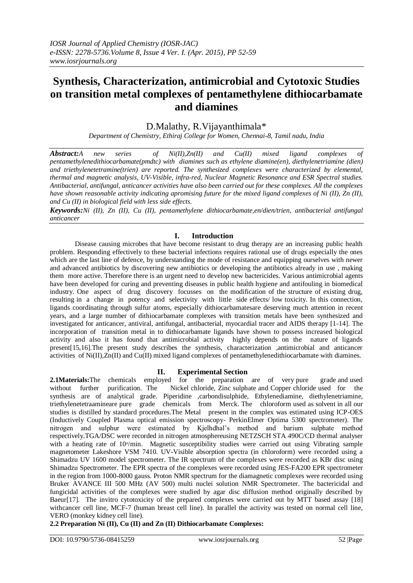# **Synthesis, Characterization, antimicrobial and Cytotoxic Studies on transition metal complexes of pentamethylene dithiocarbamate and diamines**

# D.Malathy, R.Vijayanthimala\*

*Department of Chemistry, Ethiraj College for Women, Chennai-8, Tamil nadu, India*

*Abstract:A new series of Ni(II),Zn(II) and Cu(II) mixed ligand complexes of pentamethylenedithiocarbamate(pmdtc) with diamines such as ethylene diamine(en), diethylenetriamine (dien) and triethylenetetramine(trien) are reported. The synthesized complexes were characterized by elemental, thermal and magnetic analysis, UV-Visible, infra-red, Nuclear Magnetic Resonance and ESR Spectral studies. Antibacterial, antifungal, anticancer activities have also been carried out for these complexes. All the complexes have shown reasonable activity indicating apromising future for the mixed ligand complexes of Ni (II), Zn (II), and Cu (II) in biological field with less side effects.*

*Keywords:Ni (II), Zn (II), Cu (II), pentamethylene dithiocarbamate,en/dien/trien, antibacterial antifungal anticancer* 

## **I. Introduction**

Disease causing microbes that have become resistant to drug therapy are an increasing public health problem. Responding effectively to these bacterial infections requires rational use of drugs especially the ones which are the last line of defence, by understanding the mode of resistance and equipping ourselves with newer and advanced antibiotics by discovering new antibiotics or developing the antibiotics already in use , making them more active. Therefore there is an urgent need to develop new bactericides. Various antimicrobial agents have been developed for curing and preventing diseases in public health hygiene and antifouling in biomedical industry. One aspect of drug discovery focusses on the modification of the structure of existing drug, resulting in a change in potency and selectivity with little side effects/ low toxicity. In this connection, ligands coordinating through sulfur atoms, especially dithiocarbamatesare deserving much attention in recent years, and a large number of dithiocarbamate complexes with transition metals have been synthesized and investigated for anticancer, antiviral, antifungal, antibacterial, myocardial tracer and AIDS therapy [1-14]. The incorporation of transition metal in to dithiocarbamate ligands have shown to possess increased biological activity and also it has found that antimicrobial activity highly depends on the nature of ligands present[15,16].The present study describes the synthesis, characterization ,antimicrobial and anticancer activities of Ni(II),Zn(II) and Cu(II) mixed ligand complexes of pentamethylenedithiocarbamate with diamines.

#### **II. Experimental Section**

**2.1Materials:**The chemicals employed for the preparation are of very pure grade and used without further purification. The Nickel chloride, Zinc sulphate and Copper chloride used for the synthesis are of analytical grade. Piperidine ,carbondisulphide, Ethylenediamine, diethylenetriamine, triethylenetetraamineare pure grade chemicals from Merck. The chloroform used as solvent in all our studies is distilled by standard procedures.The Metal present in the complex was estimated using ICP-OES (Inductively Coupled Plasma optical emission spectroscopy- PerkinElmer Optima 5300 spectrometer). The nitrogen and sulphur were estimated by Kjelhdhal's method and barium sulphate method respectively.TGA/DSC were recorded in nitrogen atmosphereusing NETZSCH STA 490C/CD thermal analyser with a heating rate of  $10\%$ min. Magnetic susceptibility studies were carried out using Vibrating sample magnetometer Lakeshore VSM 7410. UV-Visible absorption spectra (in chloroform) were recorded using a Shimadzu UV 1600 model spectrometer. The IR spectrum of the complexes were recorded as KBr disc using Shimadzu Spectrometer. The EPR spectra of the complexes were recorded using JES-FA200 EPR spectrometer in the region from 1000-8000 gauss. Proton NMR spectrum for the diamagnetic complexes were recorded using Bruker AVANCE III 500 MHz (AV 500) multi nuclei solution NMR Spectrometer. The bactericidal and fungicidal activities of the complexes were studied by agar disc diffusion method originally described by Baeur[17]. The invitro cytotoxicity of the prepared complexes were carried out by MTT based assay [18] withcancer cell line, MCF-7 (human breast cell line). In parallel the activity was tested on normal cell line, VERO (monkey kidney cell line).

## **2.2 Preparation Ni (II), Cu (II) and Zn (II) Dithiocarbamate Complexes:**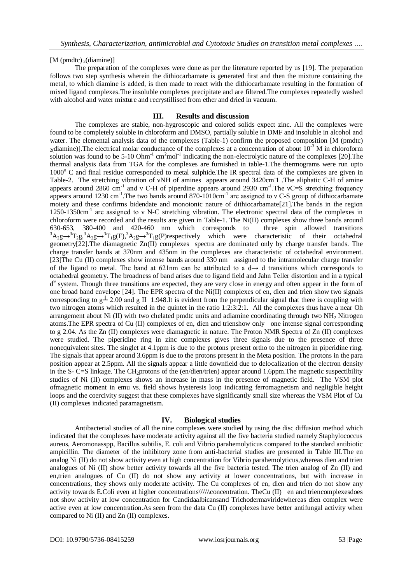## [M (pmdtc)  $_2$ (diamine)]

The preparation of the complexes were done as per the literature reported by us [19]. The preparation follows two step synthesis wherein the dithiocarbamate is generated first and then the mixture containing the metal, to which diamine is added, is then made to react with the dithiocarbamate resulting in the formation of mixed ligand complexes.The insoluble complexes precipitate and are filtered.The complexes repeatedly washed with alcohol and water mixture and recrystillised from ether and dried in vacuum.

## **III. Results and discussion**

The complexes are stable, non-hygroscopic and colored solids expect zinc. All the complexes were found to be completely soluble in chloroform and DMSO, partially soluble in DMF and insoluble in alcohol and water. The elemental analysis data of the complexes (Table-1) confirm the proposed composition [M (pmdtc)  $_2$ (diamine)]. The electrical molar conductance of the complexes at a concentration of about  $10^{-3}$  M in chloroform solution was found to be  $5{\text -}10$  Ohm<sup>-1</sup> cm<sup>2</sup>mol<sup>-1</sup> indicating the non-electrolytic nature of the complexes [20]. The thermal analysis data from TGA for the complexes are furnished in table-1.The thermograms were run upto 1000<sup>o</sup> C and final residue corresponded to metal sulphide. The IR spectral data of the complexes are given in Table-2. The stretching vibration of vNH of amines appears around 3420cm<sup>-1</sup> .The aliphatic C-H of amine appears around 2860 cm<sup>-1</sup> and ν C-H of piperdine appears around 2930 cm<sup>-1</sup>. The vC=S stretching frequency appears around 1230 cm<sup>-1</sup>. The two bands around 870-1010cm<sup>-1</sup> are assigned to v C-S group of dithiocarbamate moiety and these confirms bidendate and monoionic nature of dithiocarbamate[21].The bands in the region 1250-1350cm<sup>-1</sup> are assigned to ν N-C stretching vibration. The electronic spectral data of the complexes in chloroform were recorded and the results are given in Table-1. The Ni(II) complexes show three bands around 630-653, 380-400 and 420-460 nm which corresponds to three spin allowed transitions  ${}^{3}A_{2}g \rightarrow {}^{3}T_{2}g$ ,  ${}^{3}A_{2}g \rightarrow {}^{3}T_{1}g(F)$ ,  ${}^{3}A_{2}g \rightarrow {}^{3}T_{1}g(F)$  respectively which were characteristic of their octahedral geometry[22].The diamagnetic Zn(II) complexes spectra are dominated only by charge transfer bands. The charge transfer bands at 370nm and 435nm in the complexes are characteristic of octahedral environment. [23]The Cu (II) complexes show intense bands around 330 nm assigned to the intramolecular charge transfer of the ligand to metal. The band at 621nm can be attributed to a  $d \rightarrow d$  transitions which corresponds to octahedral geometry. The broadness of band arises due to ligand field and Jahn Teller distortion and in a typical d<sup>9</sup> system. Though three transitions are expected, they are very close in energy and often appear in the form of one broad band envelope [24]. The EPR spectra of the  $Ni(II)$  complexes of en, dien and trien show two signals corresponding to  $g\perp 2.00$  and g II 1.948.It is evident from the perpendicular signal that there is coupling with two nitrogen atoms which resulted in the quintet in the ratio 1:2:3:2:1. All the complexes thus have a near Oh arrangement about Ni (II) with two chelated pmdtc units and adiamine coordinating through two NH<sub>2</sub> Nitrogen atoms.The EPR spectra of Cu (II) complexes of en, dien and trienshow only one intense signal corresponding to g 2.04. As the Zn (II) complexes were diamagnetic in nature. The Proton NMR Spectra of Zn (II) complexes were studied. The piperidine ring in zinc complexes gives three signals due to the presence of three nonequivalent sites. The singlet at 4.1ppm is due to the protons present ortho to the nitrogen in piperidine ring. The signals that appear around 3.6ppm is due to the protons present in the Meta position. The protons in the para position appear at 2.5ppm. All the signals appear a little downfield due to delocalization of the electron density in the S- C=S linkage. The CH2protons of the (en/dien/trien) appear around 1.6ppm.The magnetic suspectibility studies of Ni (II) complexes shows an increase in mass in the presence of magnetic field. The VSM plot ofmagnetic moment in emu vs. field shows hysteresis loop indicating ferromagnetism and negligible height loops and the coercivity suggest that these complexes have significantly small size whereas the VSM Plot of Cu (II) complexes indicated paramagnetism.

#### **IV. Biological studies**

Antibacterial studies of all the nine complexes were studied by using the disc diffusion method which indicated that the complexes have moderate activity against all the five bacteria studied namely Staphylococcus aureus, Aeromonasspp, Bacillus subtilis, E. coli and Vibrio parahemolyticus compared to the standard antibiotic ampicillin. The diameter of the inhibitory zone from anti-bacterial studies are presented in Table III.The en analog Ni (II) do not show activity even at high concentration for Vibrio parahemolyticus, whereas dien and trien analogues of Ni (II) show better activity towards all the five bacteria tested. The trien analog of Zn (II) and en,trien analogues of Cu (II) do not show any activity at lower concentrations, but with increase in concentrations, they shows only moderate activity. The Cu complexes of en, dien and trien do not show any activity towards E.Coli even at higher concentrations\\\\\\concentration. TheCu (II) en and triencomplexesdoes not show activity at low concentration for Candidaalbicansand Trichodermaviridewhereas dien complex were active even at low concentration.As seen from the data Cu (II) complexes have better antifungal activity when compared to Ni (II) and Zn (II) complexes.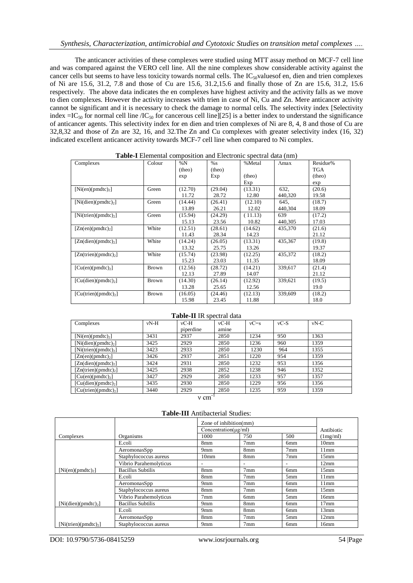The anticancer activities of these complexes were studied using MTT assay method on MCF-7 cell line and was compared against the VERO cell line. All the nine complexes show considerable activity against the cancer cells but seems to have less toxicity towards normal cells. The IC<sub>50</sub>valuesof en, dien and trien complexes of Ni are 15.6, 31.2, 7.8 and those of Cu are 15.6, 31.2,15.6 and finally those of Zn are 15.6, 31.2, 15.6 respectively. The above data indicates the en complexes have highest activity and the activity falls as we move to dien complexes. However the activity increases with trien in case of Ni, Cu and Zn. Mere anticancer activity cannot be significant and it is necessary to check the damage to normal cells. The selectivity index [Selectivity index  $=IC_{50}$  for normal cell line /IC<sub>50</sub> for cancerous cell line][25] is a better index to understand the significance of anticancer agents. This selectivity index for en dien and trien complexes of Ni are 8, 4, 8 and those of Cu are 32,8,32 and those of Zn are 32, 16, and 32.The Zn and Cu complexes with greater selectivity index (16, 32) indicated excellent anticancer activity towards MCF-7 cell line when compared to Ni complex.

| Complexes                        | Colour       | $\ldots$<br>$\%N$ | % s     | %Metal  | $\Lambda$ max | Residue% |
|----------------------------------|--------------|-------------------|---------|---------|---------------|----------|
|                                  |              | (theo)            | (theo)  |         |               | TGA      |
|                                  |              | exp               | Exp     | (theo)  |               | (theo)   |
|                                  |              |                   |         | Exp     |               | exp      |
| $[Ni(en)(pmdtc)_2]$              | Green        | (12.70)           | (29.04) | (13.31) | 632,          | (20.6)   |
|                                  |              | 11.72             | 28.72   | 12.80   | 440,320       | 19.58    |
| [Ni(dien)(pmdic) <sub>2</sub> ]  | Green        | (14.44)           | (26.41) | (12.10) | 645,          | (18.7)   |
|                                  |              | 13.89             | 26.21   | 12.02   | 440,304       | 18.09    |
| $[Ni(trien)(pmdtc)_2]$           | Green        | (15.94)           | (24.29) | (11.13) | 639           | (17.2)   |
|                                  |              | 15.13             | 23.56   | 10.82   | 440,305       | 17.03    |
| $[Zn(en)(pmdtc)_2]$              | White        | (12.51)           | (28.61) | (14.62) | 435,370       | (21.6)   |
|                                  |              | 11.43             | 28.34   | 14.23   |               | 21.12    |
| $[Zn(dien)(pmdic)_2]$            | White        | (14.24)           | (26.05) | (13.31) | 435,367       | (19.8)   |
|                                  |              | 13.32             | 25.75   | 13.26   |               | 19.37    |
| $[Zn(trien)(pmdt_c)_2]$          | White        | (15.74)           | (23.98) | (12.25) | 435,372       | (18.2)   |
|                                  |              | 15.23             | 23.03   | 11.35   |               | 18.09    |
| $[Cu(en)(pmdtc)_2]$              | <b>Brown</b> | (12.56)           | (28.72) | (14.21) | 339,617       | (21.4)   |
|                                  |              | 12.13             | 27.89   | 14.07   |               | 21.12    |
| [Cu(dien)(pmdtc) <sub>2</sub> ]  | <b>Brown</b> | (14.30)           | (26.14) | (12.92) | 339,621       | (19.5)   |
|                                  |              | 13.28             | 25.65   | 12.56   |               | 19.0     |
| [Cu(trien)(pmdtc) <sub>2</sub> ] | <b>Brown</b> | (16.05)           | (24.46) | (12.13) | 339,609       | (18.2)   |
|                                  |              | 15.98             | 23.45   | 11.88   |               | 18.0     |

**Table-I** Elemental composition and Electronic spectral data (nm)

| $vN-H$ | $vC-H$    | $vC-H$ | $vC = s$ | $vC-S$ | $vN-C$ |
|--------|-----------|--------|----------|--------|--------|
|        | piperdine | amine  |          |        |        |
| 3431   | 2937      | 2850   | 1234     | 950    | 1363   |
| 3425   | 2929      | 2850   | 1236     | 960    | 1359   |
| 3423   | 2933      | 2850   | 1230     | 964    | 1355   |
| 3426   | 2937      | 2851   | 1220     | 954    | 1359   |
| 3424   | 2931      | 2850   | 1232     | 953    | 1356   |
| 3425   | 2938      | 2852   | 1238     | 946    | 1352   |
|        |           |        |          |        |        |

**Table-II** IR spectral data

 $[Cu(dien)(pmdtc)<sub>2</sub>]$  3435 2930 2850 1229<br>  $[Cu(trien)(pmdtc)<sub>2</sub>]$  3440 2929 2850 1235 [Cu(trien)(pmdtc)2] 3440 2929 2850 1235 959 1359 ν cm

 $[Cu(en)(pmdtc)_2]$  3427 2929 2850 1233 957 1357<br>  $[Cu(dien)(pmdtc)_2]$  3435 2930 2850 1229 956 1356

**Table-III** Antibacterial Studies:

|                                 |                          | Zone of inhibition(mm)<br>Concentration( $\mu$ g/ml) |                 |                 | Antibiotic       |
|---------------------------------|--------------------------|------------------------------------------------------|-----------------|-----------------|------------------|
| Complexes                       | Organisms                | 1000                                                 | 750             | 500             | (1mg/ml)         |
|                                 | E.coli                   | 8mm                                                  | 7 <sub>mm</sub> | 6 <sub>mm</sub> | 10 <sub>mm</sub> |
|                                 |                          |                                                      |                 |                 |                  |
|                                 | AeromonasSpp             | 9 <sub>mm</sub>                                      | 8mm             | 7 <sub>mm</sub> | 11mm             |
|                                 | Staphylococcus aureus    | 10 <sub>mm</sub>                                     | 8mm             | 7 <sub>mm</sub> | 15 <sub>mm</sub> |
|                                 | Vibrio Parahemolyticus   | -                                                    |                 |                 | 12mm             |
| $[Ni(en)(pmdtc)_2]$             | Bacillus Subtilis        | 8mm                                                  | 7 <sub>mm</sub> | 6 <sub>mm</sub> | 15 <sub>mm</sub> |
|                                 | E.coli                   | 8mm                                                  | 7 <sub>mm</sub> | 5 <sub>mm</sub> | 11mm             |
|                                 | AeromonasSpp             | 9 <sub>mm</sub>                                      | 7 <sub>mm</sub> | 6 <sub>mm</sub> | 11mm             |
|                                 | Staphylococcus aureus    | 8mm                                                  | 7 <sub>mm</sub> | 6 <sub>mm</sub> | 15 <sub>mm</sub> |
|                                 | Vibrio Parahemolyticus   | 7 <sub>mm</sub>                                      | 6 <sub>mm</sub> | 5 <sub>mm</sub> | 16mm             |
| [Ni(dien)(pmdic) <sub>2</sub> ] | <b>Bacillus Subtilis</b> | 9 <sub>mm</sub>                                      | 8mm             | 6 <sub>mm</sub> | 17 <sub>mm</sub> |
|                                 | E.coli                   | 9 <sub>mm</sub>                                      | 8mm             | 6 <sub>mm</sub> | 13mm             |
|                                 | AeromonasSpp             | 8mm                                                  | 7 <sub>mm</sub> | 5 <sub>mm</sub> | 12mm             |
| $[Ni(trien)(pmdt_c)2]$          | Staphylococcus aureus    | 9 <sub>mm</sub>                                      | 7 <sub>mm</sub> | 6 <sub>mm</sub> | 16mm             |

DOI: 10.9790/5736-08415259 www.iosrjournals.org 54 |Page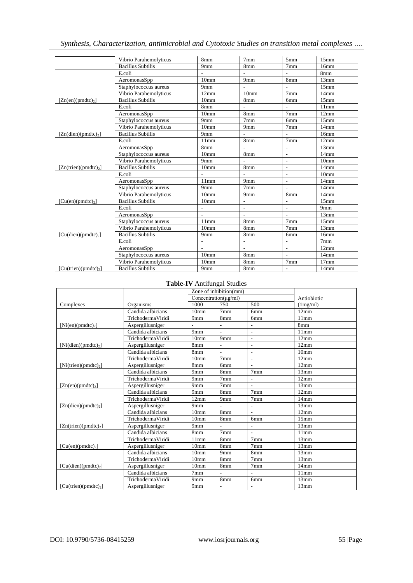|  | Synthesis, Characterization, antimicrobial and Cytotoxic Studies on transition metal complexes |  |  |  |
|--|------------------------------------------------------------------------------------------------|--|--|--|
|  |                                                                                                |  |  |  |

|                                  | Vibrio Parahemolyticus   | 8mm                      | 7 <sub>mm</sub>          | 5mm                      | 15 <sub>mm</sub> |
|----------------------------------|--------------------------|--------------------------|--------------------------|--------------------------|------------------|
|                                  | <b>Bacillus Subtilis</b> | 9 <sub>mm</sub>          | 8mm                      | 7 <sub>mm</sub>          | 16mm             |
|                                  | E.coli                   |                          |                          |                          | 8mm              |
|                                  | AeromonasSpp             | 10 <sub>mm</sub>         | 9mm                      | 8mm                      | 13mm             |
|                                  | Staphylococcus aureus    | 9 <sub>mm</sub>          |                          |                          | 15 <sub>mm</sub> |
|                                  | Vibrio Parahemolyticus   | 12mm                     | 10 <sub>mm</sub>         | 7 <sub>mm</sub>          | 14mm             |
| $[Zn(en)(pmdtc)_2]$              | <b>Bacillus Subtilis</b> | 10 <sub>mm</sub>         | 8mm                      | 6 <sub>mm</sub>          | 15 <sub>mm</sub> |
|                                  | E.coli                   | 8mm                      |                          |                          | 11mm             |
|                                  | AeromonasSpp             | 10 <sub>mm</sub>         | 8mm                      | 7 <sub>mm</sub>          | 12mm             |
|                                  | Staphylococcus aureus    | 9 <sub>mm</sub>          | 7 <sub>mm</sub>          | 6 <sub>mm</sub>          | 15 <sub>mm</sub> |
|                                  | Vibrio Parahemolyticus   | 10 <sub>mm</sub>         | 9mm                      | 7 <sub>mm</sub>          | 14mm             |
| $[Zn(dien)(pmdtc)_2]$            | <b>Bacillus Subtilis</b> | 9 <sub>mm</sub>          | $\overline{\phantom{a}}$ | L,                       | 16 <sub>mm</sub> |
|                                  | E.coli                   | 11mm                     | 8mm                      | 7 <sub>mm</sub>          | 12mm             |
|                                  | AeromonasSpp             | 8 <sub>mm</sub>          |                          | $\overline{a}$           | 13mm             |
|                                  | Staphylococcus aureus    | 10 <sub>mm</sub>         | 8mm                      | $\overline{\phantom{0}}$ | 14 <sub>mm</sub> |
|                                  | Vibrio Parahemolyticus   | 9 <sub>mm</sub>          | L.                       | L,                       | 10 <sub>mm</sub> |
| $[Zn(trien)(pmdtc)_2]$           | <b>Bacillus Subtilis</b> | 10 <sub>mm</sub>         | 8mm                      | $\overline{a}$           | 14mm             |
|                                  | E.coli                   |                          |                          | $\overline{a}$           | 10 <sub>mm</sub> |
|                                  | AeromonasSpp             | 11mm                     | 9mm                      | $\frac{1}{2}$            | 14mm             |
|                                  | Staphylococcus aureus    | 9 <sub>mm</sub>          | 7 <sub>mm</sub>          | $\overline{a}$           | 14mm             |
|                                  | Vibrio Parahemolyticus   | 10 <sub>mm</sub>         | 9mm                      | 8mm                      | 14mm             |
| $[Cu(en)(pmdtc)_2]$              | <b>Bacillus Subtilis</b> | 10 <sub>mm</sub>         | $\overline{a}$           | $\overline{a}$           | 15 <sub>mm</sub> |
|                                  | E.coli                   | $\overline{a}$           | L,                       | $\overline{a}$           | 9mm              |
|                                  | AeromonasSpp             | $\overline{a}$           | L.                       | $\overline{a}$           | 13mm             |
|                                  | Staphylococcus aureus    | 11mm                     | 8mm                      | 7 <sub>mm</sub>          | 15 <sub>mm</sub> |
|                                  | Vibrio Parahemolyticus   | 10 <sub>mm</sub>         | 8mm                      | 7 <sub>mm</sub>          | 13mm             |
| [Cu(dien)(pmdtc) <sub>2</sub> ]  | <b>Bacillus Subtilis</b> | 9mm                      | 8mm                      | 6 <sub>mm</sub>          | 16 <sub>mm</sub> |
|                                  | E.coli                   | $\overline{\phantom{a}}$ |                          | $\overline{a}$           | 7 <sub>mm</sub>  |
|                                  | AeromonasSpp             | $\overline{a}$           | $\sim$                   | L,                       | 12mm             |
|                                  | Staphylococcus aureus    | 10 <sub>mm</sub>         | 8mm                      | $\overline{a}$           | 14mm             |
|                                  | Vibrio Parahemolyticus   | 10 <sub>mm</sub>         | 8mm                      | 7 <sub>mm</sub>          | 17 <sub>mm</sub> |
| [Cu(trien)(pmdtc) <sub>2</sub> ] | <b>Bacillus Subtilis</b> | 9 <sub>mm</sub>          | 8mm                      | $\frac{1}{2}$            | 14 <sub>mm</sub> |

## **Table-IV** Antifungal Studies

|                                  |                    |                      | Zone of inhibition(mm)   |                          |                  |  |
|----------------------------------|--------------------|----------------------|--------------------------|--------------------------|------------------|--|
|                                  |                    | Concentration(µg/ml) |                          |                          | Antiobiotic      |  |
| Complexes                        | Organisms          | 1000                 | 750                      | 500                      | (1mg/ml)         |  |
|                                  | Candida albicians  | 10 <sub>mm</sub>     | 7 <sub>mm</sub>          | 6 <sub>mm</sub>          | 12mm             |  |
|                                  | Trichoderma Viridi | 9mm                  | 8mm                      | 6 <sub>mm</sub>          | 11mm             |  |
| $[Ni(en)(pmdtc)_2]$              | Aspergillusniger   |                      | $\overline{a}$           | $\overline{a}$           | 8mm              |  |
|                                  | Candida albicians  | 9mm                  | $\overline{a}$           | $\blacksquare$           | 11mm             |  |
|                                  | Trichoderma Viridi | 10 <sub>mm</sub>     | 9mm                      | $\overline{\phantom{a}}$ | 12mm             |  |
| [Ni(dien)(pmdic)]                | Aspergillusniger   | 8mm                  | $\overline{a}$           | $\overline{\phantom{a}}$ | 12mm             |  |
|                                  | Candida albicians  | 8mm                  | L.                       | $\overline{a}$           | 10 <sub>mm</sub> |  |
|                                  | Trichoderma Viridi | 10 <sub>mm</sub>     | 7 <sub>mm</sub>          | $\overline{\phantom{a}}$ | 12mm             |  |
| [Ni(trien)(pmdic) <sub>2</sub> ] | Aspergillusniger   | 8mm                  | 6 <sub>mm</sub>          |                          | 12mm             |  |
|                                  | Candida albicians  | 9mm                  | 8mm                      | 7 <sub>mm</sub>          | 13mm             |  |
|                                  | Trichoderma Viridi | 9mm                  | 7mm                      |                          | 12mm             |  |
| $[Zn(en)(pmdtc)_2]$              | Aspergillusniger   | 9mm                  | 7 <sub>mm</sub>          |                          | 13mm             |  |
|                                  | Candida albicians  | 9mm                  | 8mm                      | 7 <sub>mm</sub>          | 12mm             |  |
|                                  | Trichoderma Viridi | 12mm                 | 9mm                      | 7 <sub>mm</sub>          | 14mm             |  |
| $[Zn(dien)(pmdtc)_2]$            | Aspergillusniger   | 9mm                  |                          |                          | 13mm             |  |
|                                  | Candida albicians  | 10 <sub>mm</sub>     | 8mm                      |                          | 12mm             |  |
|                                  | Trichoderma Viridi | 10 <sub>mm</sub>     | 8mm                      | 6 <sub>mm</sub>          | 15 <sub>mm</sub> |  |
| $[Zn(trien)(pmdtc)_2]$           | Aspergillusniger   | 9mm                  |                          |                          | 13mm             |  |
|                                  | Candida albicians  | 8mm                  | 7 <sub>mm</sub>          | $\sim$                   | 11mm             |  |
|                                  | Trichoderma Viridi | 11mm                 | 8mm                      | 7 <sub>mm</sub>          | 13mm             |  |
| $[Cu(en)(pmdtc)_2]$              | Aspergillusniger   | 10 <sub>mm</sub>     | 8mm                      | 7 <sub>mm</sub>          | 13mm             |  |
|                                  | Candida albicians  | 10 <sub>mm</sub>     | 9 <sub>mm</sub>          | 8 <sub>mm</sub>          | 13mm             |  |
|                                  | Trichoderma Viridi | 10 <sub>mm</sub>     | 8mm                      | 7 <sub>mm</sub>          | 13mm             |  |
| [Cu(dien)(pmdic) <sub>2</sub> ]  | Aspergillusniger   | 10 <sub>mm</sub>     | 8mm                      | 7 <sub>mm</sub>          | 14mm             |  |
|                                  | Candida albicians  | 7mm                  | $\overline{\phantom{0}}$ |                          | 11mm             |  |
|                                  | Trichoderma Viridi | 9mm                  | 8mm                      | 6 <sub>mm</sub>          | 13mm             |  |
| [Cu(trien)(pmdic) <sub>2</sub> ] | Aspergillusniger   | 9mm                  | $\overline{\phantom{0}}$ |                          | 13mm             |  |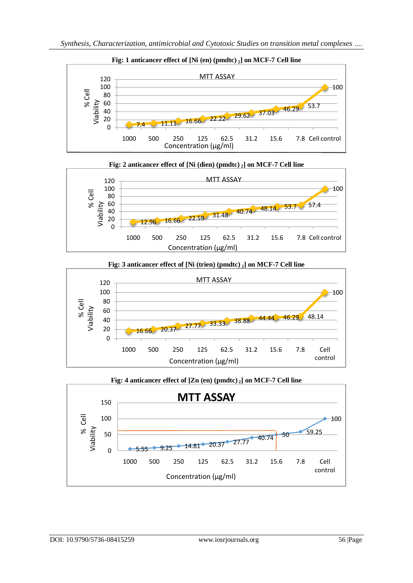





**Fig: 4 anticancer effect of [Zn (en) (pmdtc) <sup>2</sup>] on MCF-7 Cell line**  $5.55 \div 9.25 \div 14.81 \div 20.37 \div 27.77 \div 40.74$  50 59.25 100 0 50 100 150 1000 500 250 125 62.5 31.2 15.6 7.8 Cell control **MTT ASSAY** % Cell Viability Concentration (µg/ml)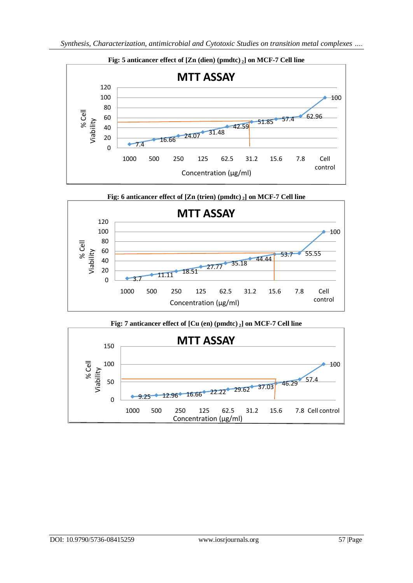



# **Fig: 7 anticancer effect of [Cu (en) (pmdtc) <sup>2</sup>] on MCF-7 Cell line**

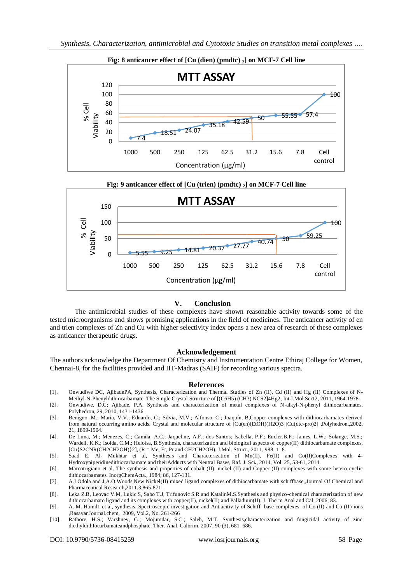



#### **V. Conclusion**

The antimicrobial studies of these complexes have shown reasonable activity towards some of the tested microorganisms and shows promising applications in the field of medicines. The anticancer activity of en and trien complexes of Zn and Cu with higher selectivity index opens a new area of research of these complexes as anticancer therapeutic drugs.

#### **Acknowledgement**

The authors acknowledge the Department Of Chemistry and Instrumentation Centre Ethiraj College for Women, Chennai-8, for the facilities provided and IIT-Madras (SAIF) for recording various spectra.

#### **References**

- [1]. Onwudiwe DC, AjibadePA, Synthesis, Characterization and Thermal Studies of Zn (II), Cd (II) and Hg (II) Complexes of N-Methyl-N-Phenyldithiocarbamate: The Single Crystal Structure of [(C6H5) (CH3) NCS2]4Hg2, Int.J.Mol.Sci12, 2011, 1964-1978.
- [2]. Onwudiwe, D.C; Ajibade, P.A. Synthesis and characterization of metal complexes of N-alkyl-N-phenyl dithiocarbamates, Polyhedron, 29, 2010, 1431-1436.
- [3]. Benigno, M.; María, V.V.; Eduardo, C.; Silvia, M.V.; Alfonso, C.; Joaquín, B,Copper complexes with dithiocarbamates derived from natural occurring amino acids. Crystal and molecular structure of [Cu(en)(EtOH)(H2O)3][Cu(dtc-pro)2] ,Polyhedron.,2002, 21, 1899-1904.
- [4]. De Lima, M.; Menezes, C.; Camila, A.C.; Jaqueline, A.F.; dos Santos; Isabella, P.F.; Eucler,B.P.; James, L.W.; Solange, M.S.; Wardell, K.K.; Isolda, C.M.; Heloisa, B.Synthesis, characterization and biological aspects of copper(II) dithiocarbamate complexes, [Cu{S2CNR(CH2CH2OH)}2], (R = Me, Et, Pr and CH2CH2OH). J.Mol. Struct., 2011, 988, 1–8.
- [5]. Saad E. Al- Mukhtar et al, Synthesis and Characterization of Mn(II), Fe(II) and Co(II)Complexes with 4- Hydroxypiperidinedithiocarbamate and theirAdducts with Neutral Bases, Raf. J. Sci**.**, 2014, Vol. 25, 53-61, 2014.
- [6]. Marcotrigiano et al. The synthesis and properties of cobalt (II), nickel (II) and Copper (II) complexes with some hetero cyclic dithiocarbamates. InorgChemActa., 1984; 86, 127-131.
- [7]. A.J.Odola and J,A.O.Woods,New Nickel(II) mixed ligand complexes of dithiocarbamate with schiffbase,,Journal Of Chemical and Pharmaceutical Research**,**2011,3,865-871.
- [8]. Leka Z.B, Leovac V.M, Lukic S, Sabo T.J, Trifunovic S.R and KatalinM.S.Synthesis and physico-chemical characterization of new dithiocarbamato ligand and its complexes with copper(II), nickel(II) and Palladium(II). J. Therm Anal and Cal; 2006; 83.
- [9]. A. M. Hamil1 et al, synthesis, Spectroscopic investigation and Antiacitivity of Schiff base complexes of Co (II) and Cu (II) ions ,RasayanJournal.chem, 2009, Vol.2, No. 261-266
- [10]. Rathore, H.S.; Varshney, G.; Mojumdar, S.C.; Saleh, M.T. Synthesis,characterization and fungicidal activity of zinc diethyldithIocarbamateandphosphate. Ther. Anal. Calorim, 2007, 90 (3), 681–686.